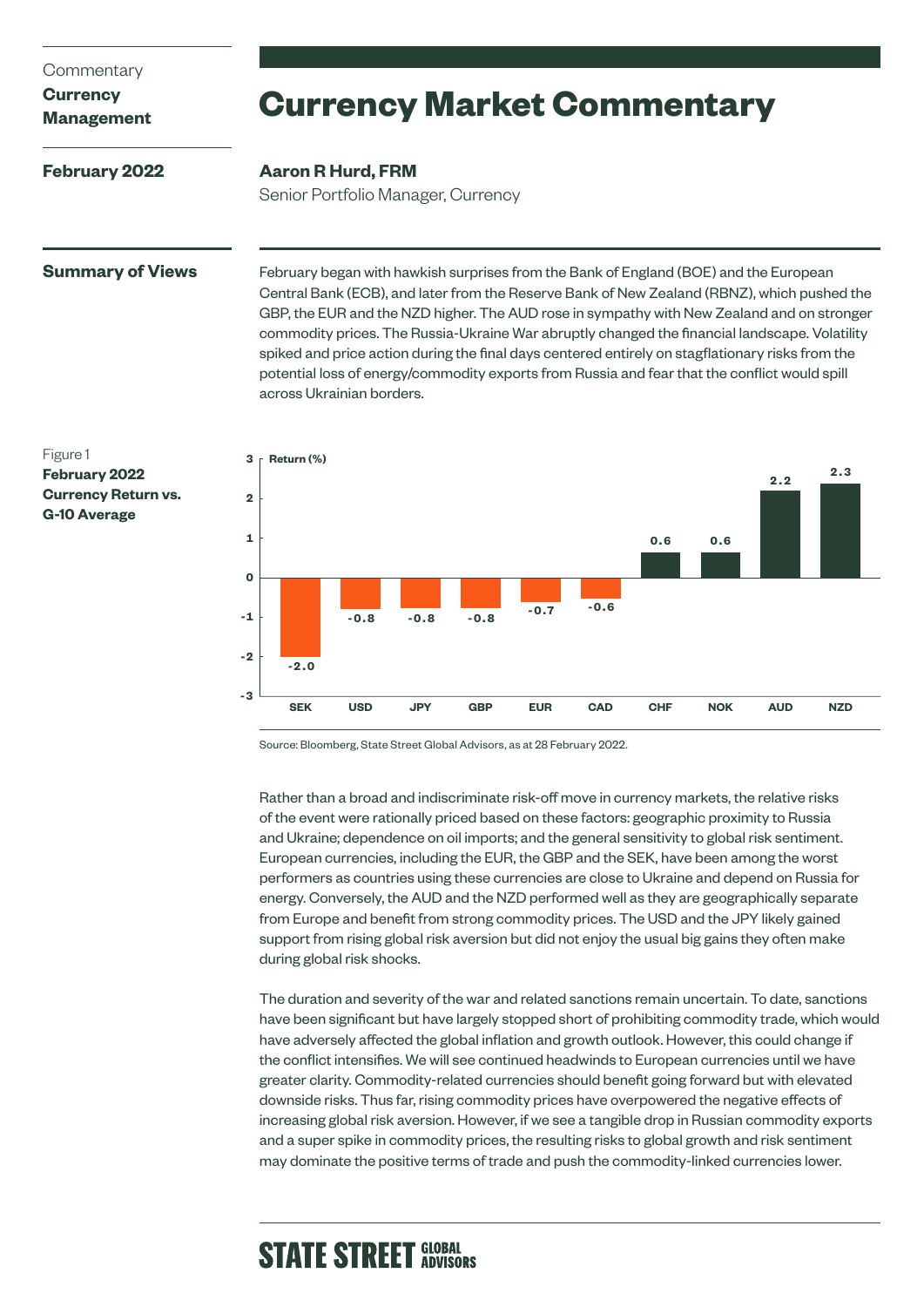### **Commentary**

# **Currency**

**Management**

**February 2022**

# **Currency Market Commentary**

# **Aaron R Hurd, FRM**

Senior Portfolio Manager, Currency

# **Summary of Views**

February began with hawkish surprises from the Bank of England (BOE) and the European Central Bank (ECB), and later from the Reserve Bank of New Zealand (RBNZ), which pushed the GBP, the EUR and the NZD higher. The AUD rose in sympathy with New Zealand and on stronger commodity prices. The Russia-Ukraine War abruptly changed the financial landscape. Volatility spiked and price action during the final days centered entirely on stagflationary risks from the potential loss of energy/commodity exports from Russia and fear that the conflict would spill across Ukrainian borders.



Source: Bloomberg, State Street Global Advisors, as at 28 February 2022.

Rather than a broad and indiscriminate risk-off move in currency markets, the relative risks of the event were rationally priced based on these factors: geographic proximity to Russia and Ukraine; dependence on oil imports; and the general sensitivity to global risk sentiment. European currencies, including the EUR, the GBP and the SEK, have been among the worst performers as countries using these currencies are close to Ukraine and depend on Russia for energy. Conversely, the AUD and the NZD performed well as they are geographically separate from Europe and benefit from strong commodity prices. The USD and the JPY likely gained support from rising global risk aversion but did not enjoy the usual big gains they often make during global risk shocks.

The duration and severity of the war and related sanctions remain uncertain. To date, sanctions have been significant but have largely stopped short of prohibiting commodity trade, which would have adversely affected the global inflation and growth outlook. However, this could change if the conflict intensifies. We will see continued headwinds to European currencies until we have greater clarity. Commodity-related currencies should benefit going forward but with elevated downside risks. Thus far, rising commodity prices have overpowered the negative effects of increasing global risk aversion. However, if we see a tangible drop in Russian commodity exports and a super spike in commodity prices, the resulting risks to global growth and risk sentiment may dominate the positive terms of trade and push the commodity-linked currencies lower.

# **STATE STREET GLOBAL**

## Figure 1 **February 2022 Currency Return vs. G-10 Average**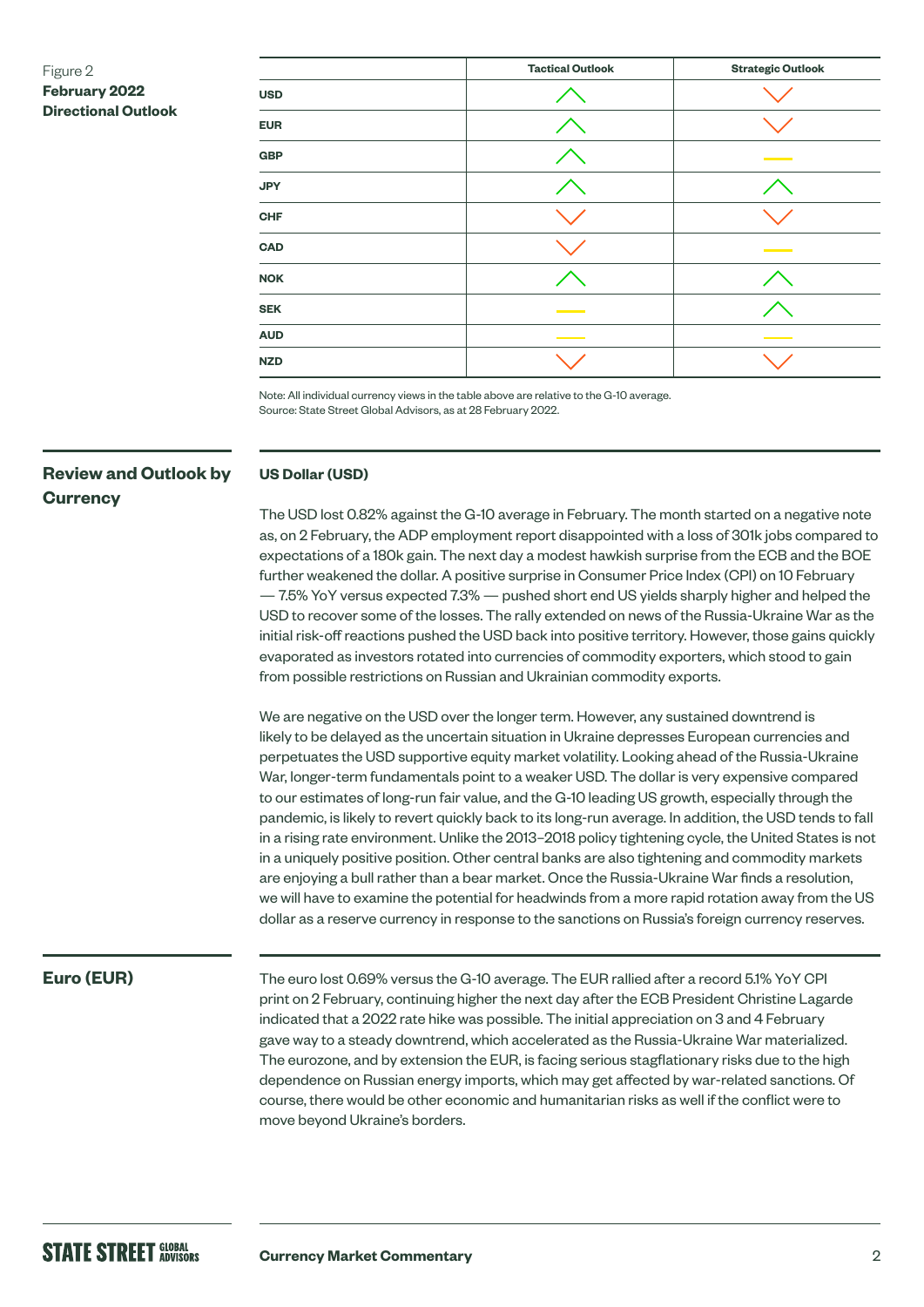# Figure 2 **February 2022 Directional Outlook**

|            | <b>Tactical Outlook</b> | <b>Strategic Outlook</b> |
|------------|-------------------------|--------------------------|
| <b>USD</b> |                         |                          |
| <b>EUR</b> |                         |                          |
| <b>GBP</b> |                         |                          |
| <b>JPY</b> |                         |                          |
| <b>CHF</b> |                         |                          |
| <b>CAD</b> |                         |                          |
| <b>NOK</b> |                         |                          |
| <b>SEK</b> |                         |                          |
| <b>AUD</b> |                         |                          |
| <b>NZD</b> |                         |                          |

Note: All individual currency views in the table above are relative to the G-10 average. Source: State Street Global Advisors, as at 28 February 2022.

# **Review and Outlook by Currency**

### **US Dollar (USD)**

The USD lost 0.82% against the G-10 average in February. The month started on a negative note as, on 2 February, the ADP employment report disappointed with a loss of 301k jobs compared to expectations of a 180k gain. The next day a modest hawkish surprise from the ECB and the BOE further weakened the dollar. A positive surprise in Consumer Price Index (CPI) on 10 February — 7.5% YoY versus expected 7.3% — pushed short end US yields sharply higher and helped the USD to recover some of the losses. The rally extended on news of the Russia-Ukraine War as the initial risk-off reactions pushed the USD back into positive territory. However, those gains quickly evaporated as investors rotated into currencies of commodity exporters, which stood to gain from possible restrictions on Russian and Ukrainian commodity exports.

We are negative on the USD over the longer term. However, any sustained downtrend is likely to be delayed as the uncertain situation in Ukraine depresses European currencies and perpetuates the USD supportive equity market volatility. Looking ahead of the Russia-Ukraine War, longer-term fundamentals point to a weaker USD. The dollar is very expensive compared to our estimates of long-run fair value, and the G-10 leading US growth, especially through the pandemic, is likely to revert quickly back to its long-run average. In addition, the USD tends to fall in a rising rate environment. Unlike the 2013–2018 policy tightening cycle, the United States is not in a uniquely positive position. Other central banks are also tightening and commodity markets are enjoying a bull rather than a bear market. Once the Russia-Ukraine War finds a resolution, we will have to examine the potential for headwinds from a more rapid rotation away from the US dollar as a reserve currency in response to the sanctions on Russia's foreign currency reserves.

# **Euro (EUR)**

The euro lost 0.69% versus the G-10 average. The EUR rallied after a record 5.1% YoY CPI print on 2 February, continuing higher the next day after the ECB President Christine Lagarde indicated that a 2022 rate hike was possible. The initial appreciation on 3 and 4 February gave way to a steady downtrend, which accelerated as the Russia-Ukraine War materialized. The eurozone, and by extension the EUR, is facing serious stagflationary risks due to the high dependence on Russian energy imports, which may get affected by war-related sanctions. Of course, there would be other economic and humanitarian risks as well if the conflict were to move beyond Ukraine's borders.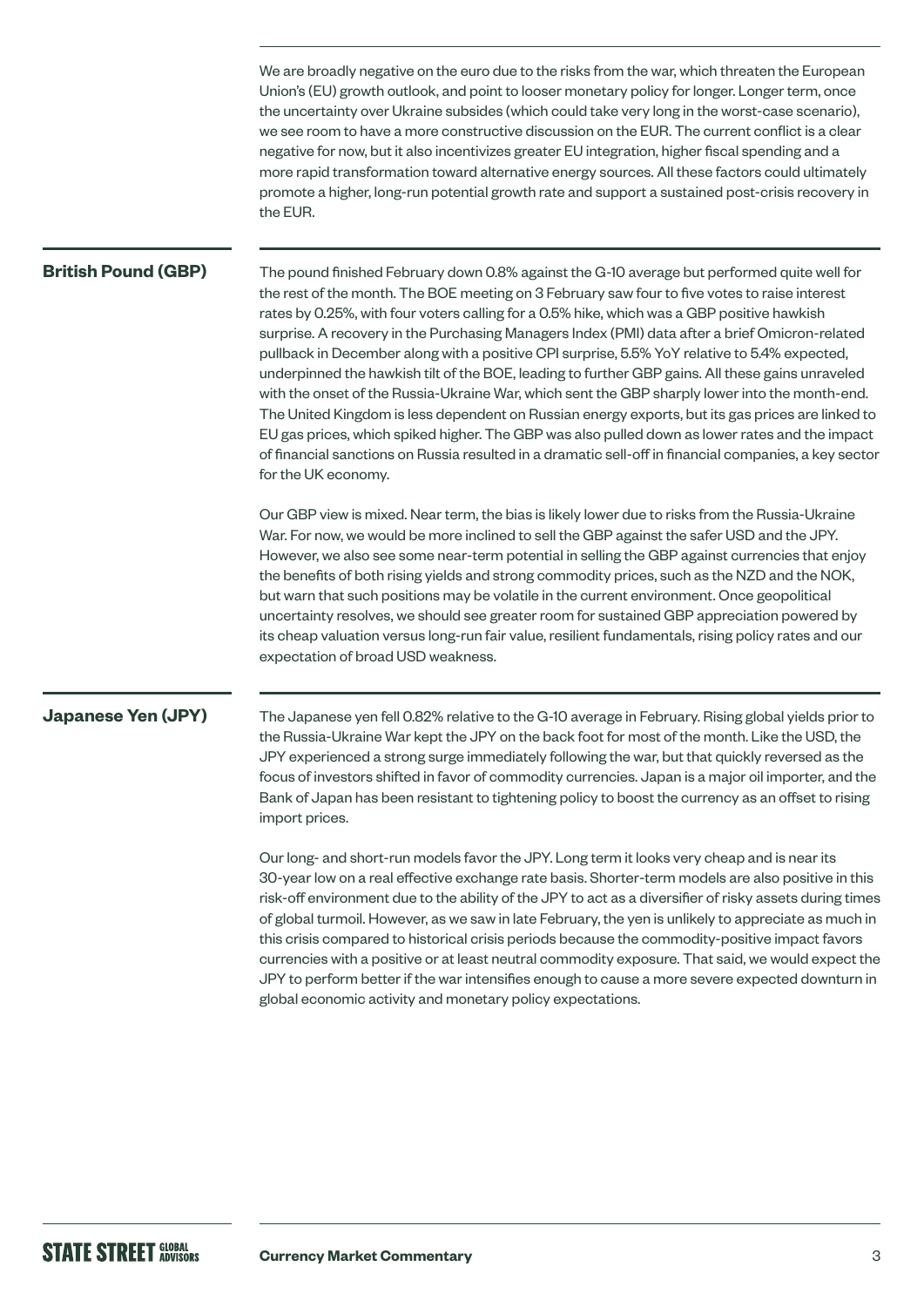We are broadly negative on the euro due to the risks from the war, which threaten the European Union's (EU) growth outlook, and point to looser monetary policy for longer. Longer term, once the uncertainty over Ukraine subsides (which could take very long in the worst-case scenario), we see room to have a more constructive discussion on the EUR. The current conflict is a clear negative for now, but it also incentivizes greater EU integration, higher fiscal spending and a more rapid transformation toward alternative energy sources. All these factors could ultimately promote a higher, long-run potential growth rate and support a sustained post-crisis recovery in the EUR.

### **British Pound (GBP)**

The pound finished February down 0.8% against the G-10 average but performed quite well for the rest of the month. The BOE meeting on 3 February saw four to five votes to raise interest rates by 0.25%, with four voters calling for a 0.5% hike, which was a GBP positive hawkish surprise. A recovery in the Purchasing Managers Index (PMI) data after a brief Omicron-related pullback in December along with a positive CPI surprise, 5.5% YoY relative to 5.4% expected, underpinned the hawkish tilt of the BOE, leading to further GBP gains. All these gains unraveled with the onset of the Russia-Ukraine War, which sent the GBP sharply lower into the month-end. The United Kingdom is less dependent on Russian energy exports, but its gas prices are linked to EU gas prices, which spiked higher. The GBP was also pulled down as lower rates and the impact of financial sanctions on Russia resulted in a dramatic sell-off in financial companies, a key sector for the UK economy.

Our GBP view is mixed. Near term, the bias is likely lower due to risks from the Russia-Ukraine War. For now, we would be more inclined to sell the GBP against the safer USD and the JPY. However, we also see some near-term potential in selling the GBP against currencies that enjoy the benefits of both rising yields and strong commodity prices, such as the NZD and the NOK, but warn that such positions may be volatile in the current environment. Once geopolitical uncertainty resolves, we should see greater room for sustained GBP appreciation powered by its cheap valuation versus long-run fair value, resilient fundamentals, rising policy rates and our expectation of broad USD weakness.

### **Japanese Yen (JPY)**

The Japanese yen fell 0.82% relative to the G-10 average in February. Rising global yields prior to the Russia-Ukraine War kept the JPY on the back foot for most of the month. Like the USD, the JPY experienced a strong surge immediately following the war, but that quickly reversed as the focus of investors shifted in favor of commodity currencies. Japan is a major oil importer, and the Bank of Japan has been resistant to tightening policy to boost the currency as an offset to rising import prices.

Our long- and short-run models favor the JPY. Long term it looks very cheap and is near its 30-year low on a real effective exchange rate basis. Shorter-term models are also positive in this risk-off environment due to the ability of the JPY to act as a diversifier of risky assets during times of global turmoil. However, as we saw in late February, the yen is unlikely to appreciate as much in this crisis compared to historical crisis periods because the commodity-positive impact favors currencies with a positive or at least neutral commodity exposure. That said, we would expect the JPY to perform better if the war intensifies enough to cause a more severe expected downturn in global economic activity and monetary policy expectations.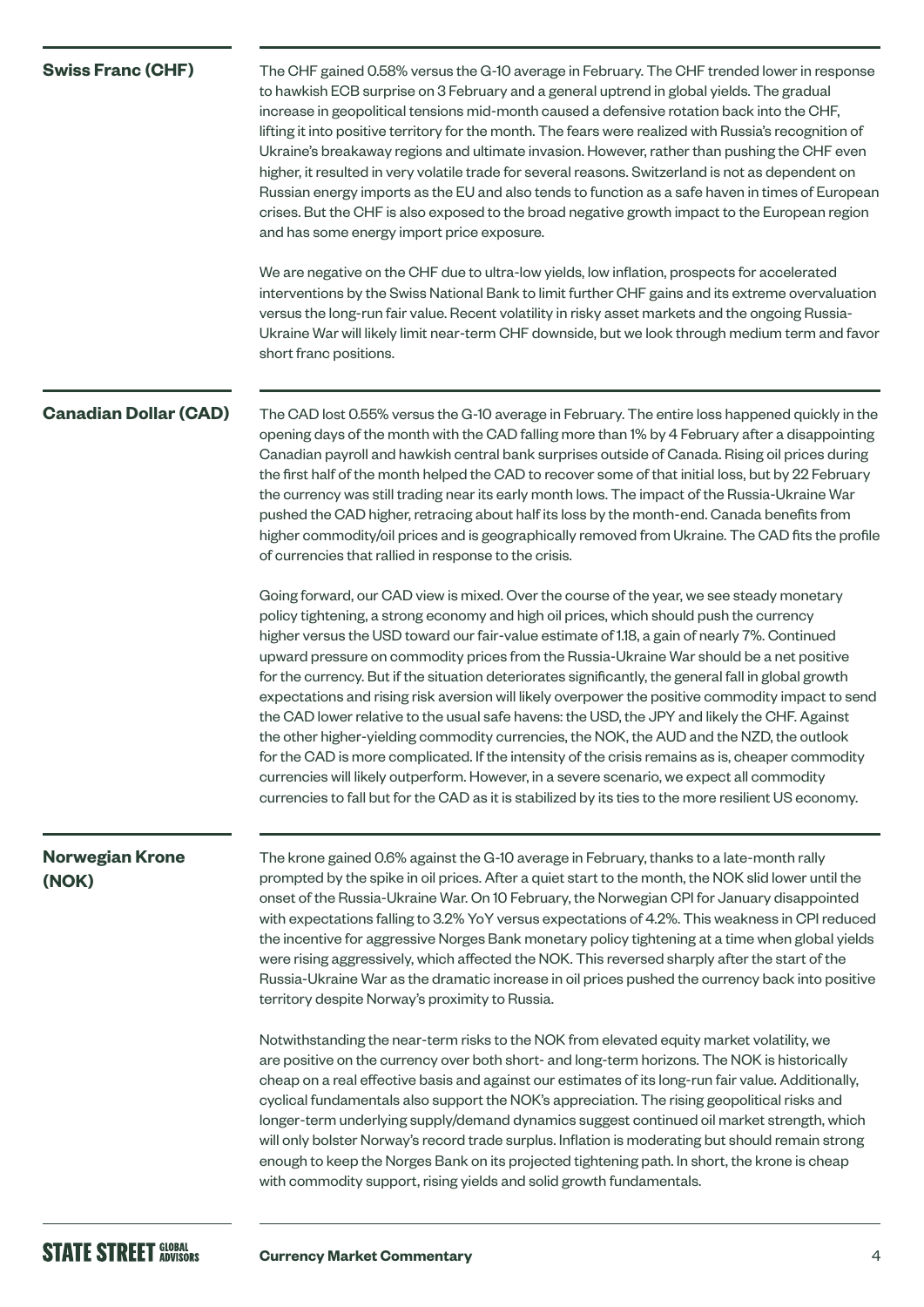| <b>Swiss Franc (CHF)</b>        | The CHF gained 0.58% versus the G-10 average in February. The CHF trended lower in response<br>to hawkish ECB surprise on 3 February and a general uptrend in global yields. The gradual<br>increase in geopolitical tensions mid-month caused a defensive rotation back into the CHF,<br>lifting it into positive territory for the month. The fears were realized with Russia's recognition of<br>Ukraine's breakaway regions and ultimate invasion. However, rather than pushing the CHF even<br>higher, it resulted in very volatile trade for several reasons. Switzerland is not as dependent on<br>Russian energy imports as the EU and also tends to function as a safe haven in times of European<br>crises. But the CHF is also exposed to the broad negative growth impact to the European region<br>and has some energy import price exposure.<br>We are negative on the CHF due to ultra-low yields, low inflation, prospects for accelerated<br>interventions by the Swiss National Bank to limit further CHF gains and its extreme overvaluation<br>versus the long-run fair value. Recent volatility in risky asset markets and the ongoing Russia-<br>Ukraine War will likely limit near-term CHF downside, but we look through medium term and favor<br>short franc positions. |
|---------------------------------|--------------------------------------------------------------------------------------------------------------------------------------------------------------------------------------------------------------------------------------------------------------------------------------------------------------------------------------------------------------------------------------------------------------------------------------------------------------------------------------------------------------------------------------------------------------------------------------------------------------------------------------------------------------------------------------------------------------------------------------------------------------------------------------------------------------------------------------------------------------------------------------------------------------------------------------------------------------------------------------------------------------------------------------------------------------------------------------------------------------------------------------------------------------------------------------------------------------------------------------------------------------------------------------------------|
| <b>Canadian Dollar (CAD)</b>    | The CAD lost 0.55% versus the G-10 average in February. The entire loss happened quickly in the<br>opening days of the month with the CAD falling more than 1% by 4 February after a disappointing<br>Canadian payroll and hawkish central bank surprises outside of Canada. Rising oil prices during<br>the first half of the month helped the CAD to recover some of that initial loss, but by 22 February<br>the currency was still trading near its early month lows. The impact of the Russia-Ukraine War<br>pushed the CAD higher, retracing about half its loss by the month-end. Canada benefits from<br>higher commodity/oil prices and is geographically removed from Ukraine. The CAD fits the profile<br>of currencies that rallied in response to the crisis.                                                                                                                                                                                                                                                                                                                                                                                                                                                                                                                       |
|                                 | Going forward, our CAD view is mixed. Over the course of the year, we see steady monetary<br>policy tightening, a strong economy and high oil prices, which should push the currency<br>higher versus the USD toward our fair-value estimate of 1.18, a gain of nearly 7%. Continued<br>upward pressure on commodity prices from the Russia-Ukraine War should be a net positive<br>for the currency. But if the situation deteriorates significantly, the general fall in global growth<br>expectations and rising risk aversion will likely overpower the positive commodity impact to send<br>the CAD lower relative to the usual safe havens: the USD, the JPY and likely the CHF. Against<br>the other higher-yielding commodity currencies, the NOK, the AUD and the NZD, the outlook<br>for the CAD is more complicated. If the intensity of the crisis remains as is, cheaper commodity<br>currencies will likely outperform. However, in a severe scenario, we expect all commodity<br>currencies to fall but for the CAD as it is stabilized by its ties to the more resilient US economy.                                                                                                                                                                                             |
| <b>Norwegian Krone</b><br>(NOK) | The krone gained 0.6% against the G-10 average in February, thanks to a late-month rally<br>prompted by the spike in oil prices. After a quiet start to the month, the NOK slid lower until the<br>onset of the Russia-Ukraine War. On 10 February, the Norwegian CPI for January disappointed<br>with expectations falling to 3.2% YoY versus expectations of 4.2%. This weakness in CPI reduced<br>the incentive for aggressive Norges Bank monetary policy tightening at a time when global yields<br>were rising aggressively, which affected the NOK. This reversed sharply after the start of the<br>Russia-Ukraine War as the dramatic increase in oil prices pushed the currency back into positive<br>territory despite Norway's proximity to Russia.                                                                                                                                                                                                                                                                                                                                                                                                                                                                                                                                   |
|                                 | Notwithstanding the near-term risks to the NOK from elevated equity market volatility, we<br>are positive on the currency over both short- and long-term horizons. The NOK is historically<br>cheap on a real effective basis and against our estimates of its long-run fair value. Additionally,<br>cyclical fundamentals also support the NOK's appreciation. The rising geopolitical risks and<br>longer-term underlying supply/demand dynamics suggest continued oil market strength, which<br>will only bolster Norway's record trade surplus. Inflation is moderating but should remain strong<br>enough to keep the Norges Bank on its projected tightening path. In short, the krone is cheap<br>with commodity support, rising yields and solid growth fundamentals.                                                                                                                                                                                                                                                                                                                                                                                                                                                                                                                    |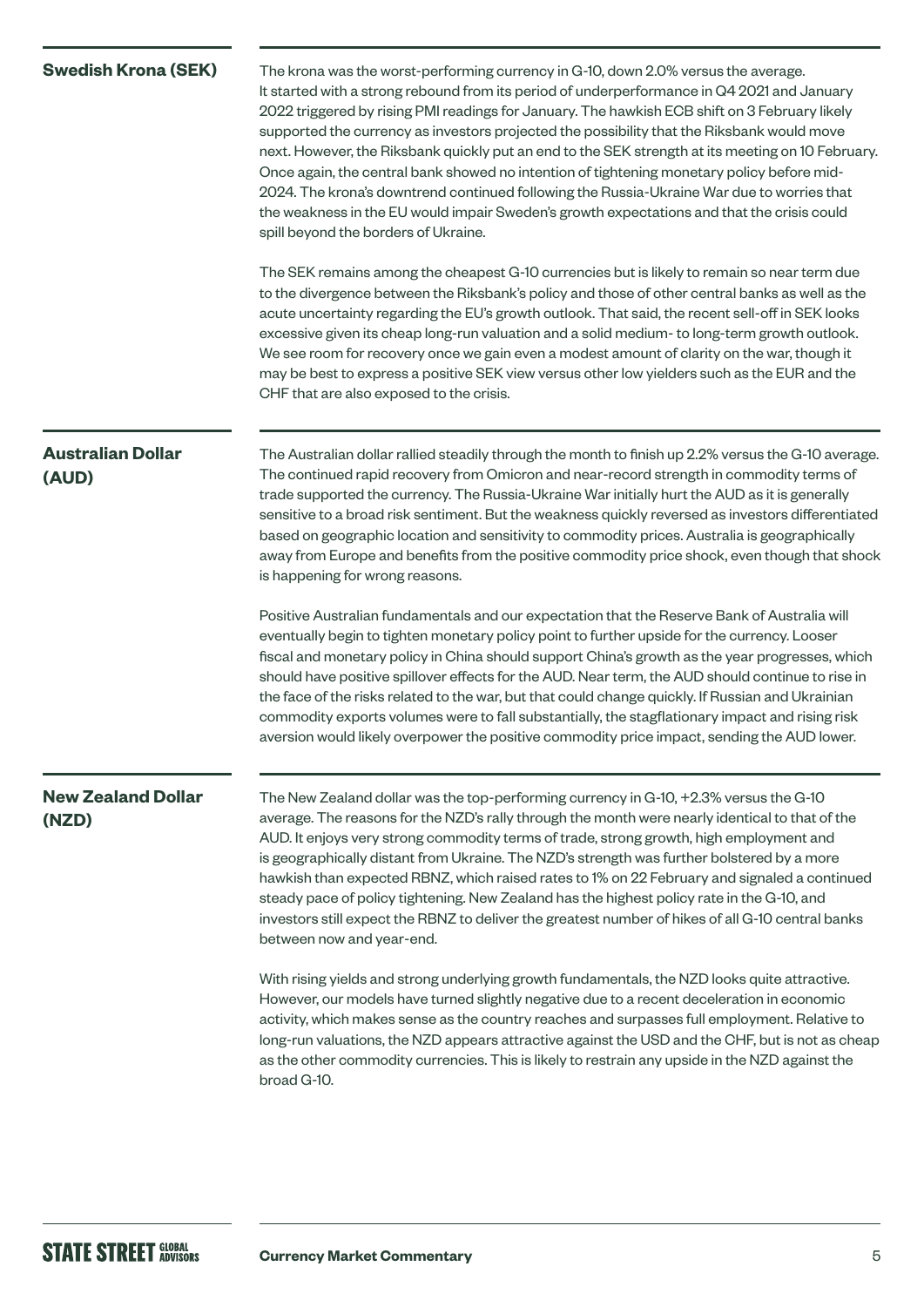| <b>Swedish Krona (SEK)</b>         | The krona was the worst-performing currency in G-10, down 2.0% versus the average.<br>It started with a strong rebound from its period of underperformance in Q4 2021 and January<br>2022 triggered by rising PMI readings for January. The hawkish ECB shift on 3 February likely<br>supported the currency as investors projected the possibility that the Riksbank would move<br>next. However, the Riksbank quickly put an end to the SEK strength at its meeting on 10 February.<br>Once again, the central bank showed no intention of tightening monetary policy before mid-<br>2024. The krona's downtrend continued following the Russia-Ukraine War due to worries that<br>the weakness in the EU would impair Sweden's growth expectations and that the crisis could<br>spill beyond the borders of Ukraine.<br>The SEK remains among the cheapest G-10 currencies but is likely to remain so near term due<br>to the divergence between the Riksbank's policy and those of other central banks as well as the<br>acute uncertainty regarding the EU's growth outlook. That said, the recent sell-off in SEK looks<br>excessive given its cheap long-run valuation and a solid medium- to long-term growth outlook.<br>We see room for recovery once we gain even a modest amount of clarity on the war, though it<br>may be best to express a positive SEK view versus other low yielders such as the EUR and the |
|------------------------------------|-------------------------------------------------------------------------------------------------------------------------------------------------------------------------------------------------------------------------------------------------------------------------------------------------------------------------------------------------------------------------------------------------------------------------------------------------------------------------------------------------------------------------------------------------------------------------------------------------------------------------------------------------------------------------------------------------------------------------------------------------------------------------------------------------------------------------------------------------------------------------------------------------------------------------------------------------------------------------------------------------------------------------------------------------------------------------------------------------------------------------------------------------------------------------------------------------------------------------------------------------------------------------------------------------------------------------------------------------------------------------------------------------------------------------------|
|                                    | CHF that are also exposed to the crisis.                                                                                                                                                                                                                                                                                                                                                                                                                                                                                                                                                                                                                                                                                                                                                                                                                                                                                                                                                                                                                                                                                                                                                                                                                                                                                                                                                                                      |
| <b>Australian Dollar</b><br>(AUD)  | The Australian dollar rallied steadily through the month to finish up 2.2% versus the G-10 average.<br>The continued rapid recovery from Omicron and near-record strength in commodity terms of<br>trade supported the currency. The Russia-Ukraine War initially hurt the AUD as it is generally<br>sensitive to a broad risk sentiment. But the weakness quickly reversed as investors differentiated<br>based on geographic location and sensitivity to commodity prices. Australia is geographically<br>away from Europe and benefits from the positive commodity price shock, even though that shock<br>is happening for wrong reasons.                                                                                                                                                                                                                                                                                                                                                                                                                                                                                                                                                                                                                                                                                                                                                                                  |
|                                    | Positive Australian fundamentals and our expectation that the Reserve Bank of Australia will<br>eventually begin to tighten monetary policy point to further upside for the currency. Looser<br>fiscal and monetary policy in China should support China's growth as the year progresses, which<br>should have positive spillover effects for the AUD. Near term, the AUD should continue to rise in<br>the face of the risks related to the war, but that could change quickly. If Russian and Ukrainian<br>commodity exports volumes were to fall substantially, the stagflationary impact and rising risk<br>aversion would likely overpower the positive commodity price impact, sending the AUD lower.                                                                                                                                                                                                                                                                                                                                                                                                                                                                                                                                                                                                                                                                                                                   |
| <b>New Zealand Dollar</b><br>(NZD) | The New Zealand dollar was the top-performing currency in G-10, +2.3% versus the G-10<br>average. The reasons for the NZD's rally through the month were nearly identical to that of the<br>AUD. It enjoys very strong commodity terms of trade, strong growth, high employment and<br>is geographically distant from Ukraine. The NZD's strength was further bolstered by a more<br>hawkish than expected RBNZ, which raised rates to 1% on 22 February and signaled a continued<br>steady pace of policy tightening. New Zealand has the highest policy rate in the G-10, and<br>investors still expect the RBNZ to deliver the greatest number of hikes of all G-10 central banks<br>between now and year-end.                                                                                                                                                                                                                                                                                                                                                                                                                                                                                                                                                                                                                                                                                                             |
|                                    | With rising yields and strong underlying growth fundamentals, the NZD looks quite attractive.<br>However, our models have turned slightly negative due to a recent deceleration in economic<br>activity, which makes sense as the country reaches and surpasses full employment. Relative to<br>long-run valuations, the NZD appears attractive against the USD and the CHF, but is not as cheap<br>as the other commodity currencies. This is likely to restrain any upside in the NZD against the<br>broad G-10.                                                                                                                                                                                                                                                                                                                                                                                                                                                                                                                                                                                                                                                                                                                                                                                                                                                                                                            |